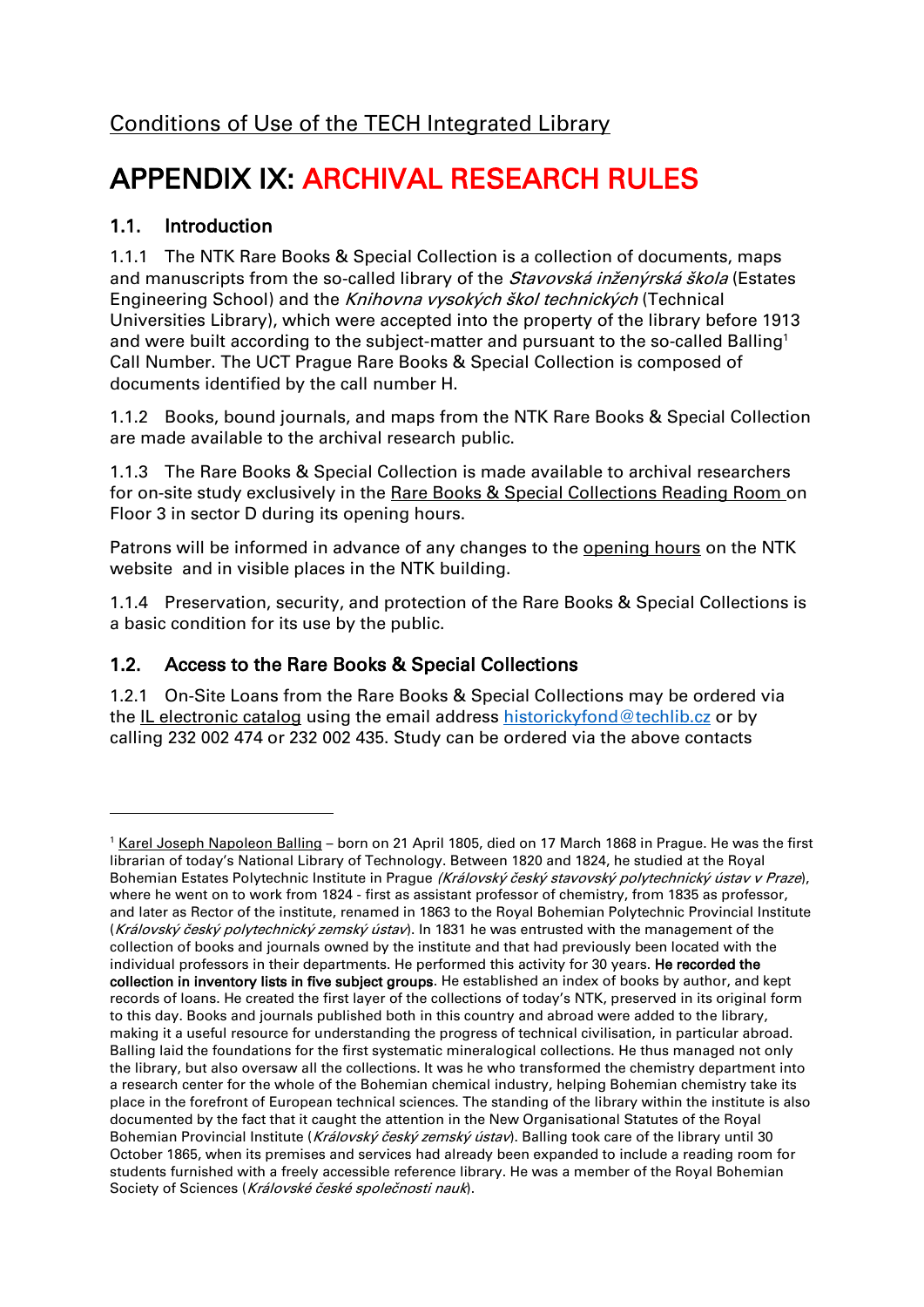# [Conditions of Use of the TECH Integrated Library](/default/files/download/id/4617/)

# APPENDIX IX: ARCHIVAL RESEARCH RULES

## 1.1. Introduction

1

1.1.1 The NTK Rare Books & Special Collection is a collection of documents, maps and manuscripts from the so-called library of the *Stavovská inženýrská škola* (Estates Engineering School) and the Knihovna vysokých škol technických (Technical Universities Library), which were accepted into the property of the library before 1913 and were built according to the subject-matter and pursuant to the so-called Balling<sup>1</sup> Call Number. The UCT Prague Rare Books & Special Collection is composed of documents identified by the call number H.

1.1.2 Books, bound journals, and maps from the NTK Rare Books & Special Collection are made available to the archival research public.

1.1.3 The Rare Books & Special Collection is made available to archival researchers for on-site study exclusively in the [Rare Books & Special Collections Reading Room](/en/83035) on Floor 3 in sector D during its opening hours.

Patrons will be informed in advance of any changes to the [opening hours](/en/2854) on the NTK website and in visible places in the NTK building.

1.1.4 Preservation, security, and protection of the Rare Books & Special Collections is a basic condition for its use by the public.

## 1.2. Access to the Rare Books & Special Collections

1.2.1 On-Site Loans from the Rare Books & Special Collections may be ordered via the [IL electronic catalog](https://vufind.techlib.cz/) using the email address [historickyfond@techlib.cz](mailto:historickyfond@techlib.cz) or by calling 232 002 474 or 232 002 435. Study can be ordered via the above contacts

<sup>&</sup>lt;sup>1</sup> Karel Joseph [Napoleon Balling](https://cs.wikipedia.org/wiki/Karel_Balling_(chemik)) – born on 21 April 1805, died on 17 March 1868 in Prague. He was the first librarian of today's National Library of Technology. Between 1820 and 1824, he studied at the Royal Bohemian Estates Polytechnic Institute in Prague (Královský český stavovský polytechnický ústav v Praze), where he went on to work from 1824 - first as assistant professor of chemistry, from 1835 as professor, and later as Rector of the institute, renamed in 1863 to the Royal Bohemian Polytechnic Provincial Institute (Královský český polytechnický zemský ústav). In 1831 he was entrusted with the management of the collection of books and journals owned by the institute and that had previously been located with the individual professors in their departments. He performed this activity for 30 years. He recorded the collection in inventory lists in five subject groups. He established an index of books by author, and kept records of loans. He created the first layer of the collections of today's NTK, preserved in its original form to this day. Books and journals published both in this country and abroad were added to the library, making it a useful resource for understanding the progress of technical civilisation, in particular abroad. Balling laid the foundations for the first systematic mineralogical collections. He thus managed not only the library, but also oversaw all the collections. It was he who transformed the chemistry department into a research center for the whole of the Bohemian chemical industry, helping Bohemian chemistry take its place in the forefront of European technical sciences. The standing of the library within the institute is also documented by the fact that it caught the attention in the New Organisational Statutes of the Royal Bohemian Provincial Institute (Královský český zemský ústav). Balling took care of the library until 30 October 1865, when its premises and services had already been expanded to include a reading room for students furnished with a freely accessible reference library. He was a member of the Royal Bohemian Society of Sciences (Královské české společnosti nauk).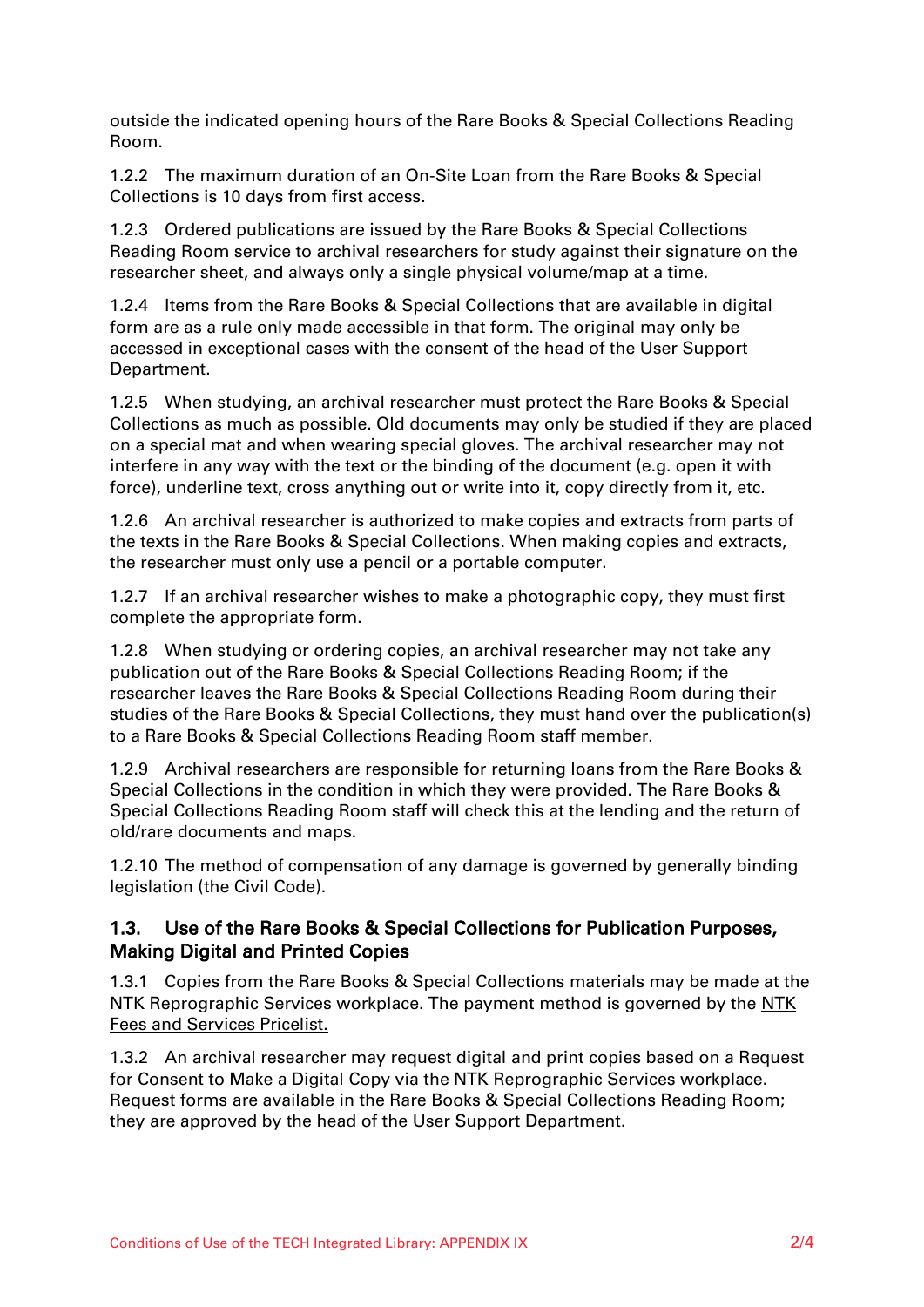outside the indicated opening hours of the Rare Books & Special Collections Reading Room.

1.2.2 The maximum duration of an On-Site Loan from the Rare Books & Special Collections is 10 days from first access.

1.2.3 Ordered publications are issued by the Rare Books & Special Collections Reading Room service to archival researchers for study against their signature on the researcher sheet, and always only a single physical volume/map at a time.

1.2.4 Items from the Rare Books & Special Collections that are available in digital form are as a rule only made accessible in that form. The original may only be accessed in exceptional cases with the consent of the head of the User Support Department.

1.2.5 When studying, an archival researcher must protect the Rare Books & Special Collections as much as possible. Old documents may only be studied if they are placed on a special mat and when wearing special gloves. The archival researcher may not interfere in any way with the text or the binding of the document (e.g. open it with force), underline text, cross anything out or write into it, copy directly from it, etc.

1.2.6 An archival researcher is authorized to make copies and extracts from parts of the texts in the Rare Books & Special Collections. When making copies and extracts, the researcher must only use a pencil or a portable computer.

1.2.7 If an archival researcher wishes to make a photographic copy, they must first complete the appropriate form.

1.2.8 When studying or ordering copies, an archival researcher may not take any publication out of the Rare Books & Special Collections Reading Room; if the researcher leaves the Rare Books & Special Collections Reading Room during their studies of the Rare Books & Special Collections, they must hand over the publication(s) to a Rare Books & Special Collections Reading Room staff member.

1.2.9 Archival researchers are responsible for returning loans from the Rare Books & Special Collections in the condition in which they were provided. The Rare Books & Special Collections Reading Room staff will check this at the lending and the return of old/rare documents and maps.

1.2.10 The method of compensation of any damage is governed by generally binding legislation (the Civil Code).

#### 1.3. Use of the Rare Books & Special Collections for Publication Purposes, Making Digital and Printed Copies

1.3.1 Copies from the Rare Books & Special Collections materials may be made at the NTK Reprographic Services workplace. The payment method is governed by the NTK [Fees and Services Pricelist.](/default/files/download/id/4618/)

1.3.2 An archival researcher may request digital and print copies based on a Request for Consent to Make a Digital Copy via the NTK Reprographic Services workplace. Request forms are available in the Rare Books & Special Collections Reading Room; they are approved by the head of the User Support Department.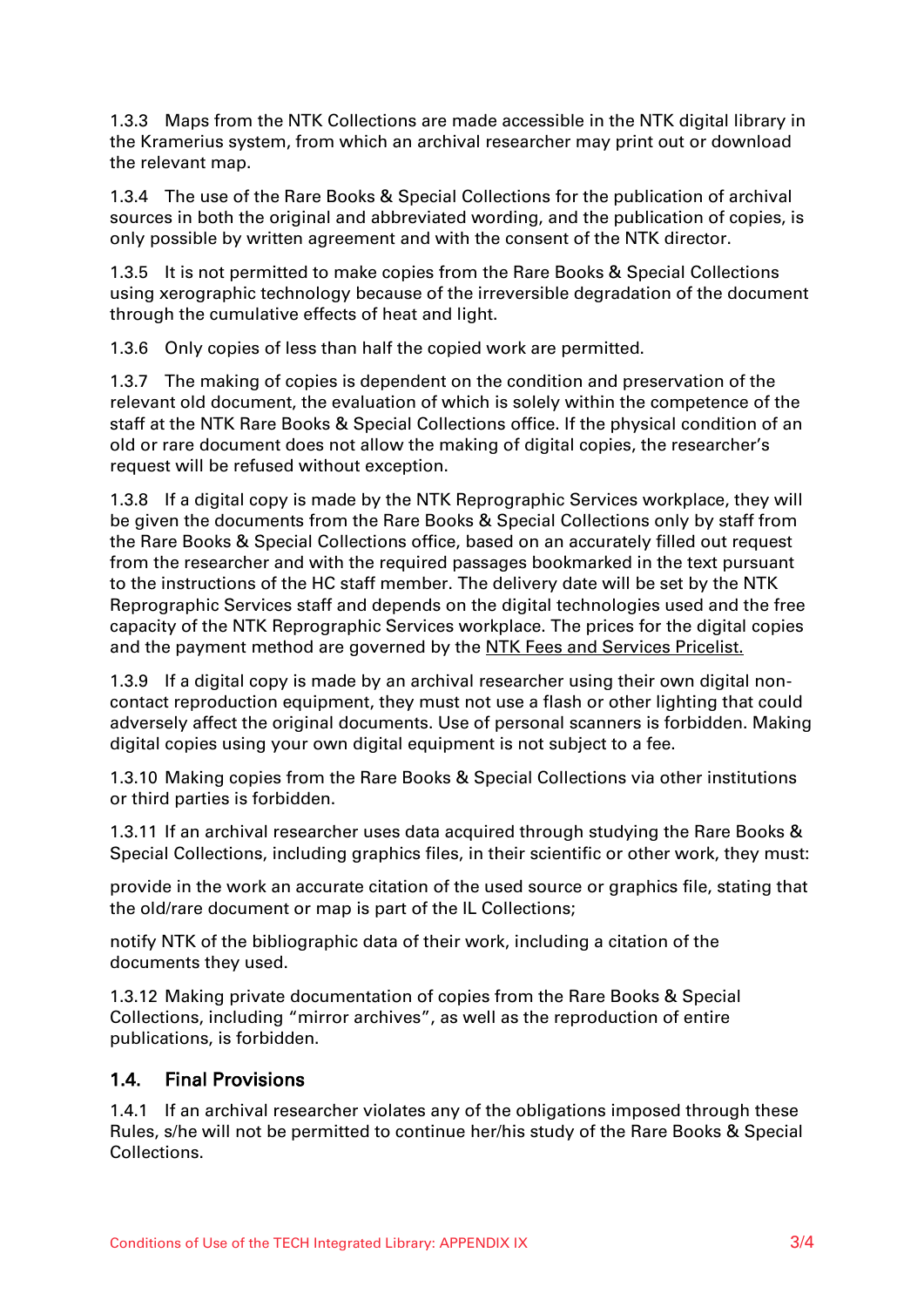1.3.3 Maps from the NTK Collections are made accessible in the NTK digital library in the Kramerius system, from which an archival researcher may print out or download the relevant map.

1.3.4 The use of the Rare Books & Special Collections for the publication of archival sources in both the original and abbreviated wording, and the publication of copies, is only possible by written agreement and with the consent of the NTK director.

1.3.5 It is not permitted to make copies from the Rare Books & Special Collections using xerographic technology because of the irreversible degradation of the document through the cumulative effects of heat and light.

1.3.6 Only copies of less than half the copied work are permitted.

1.3.7 The making of copies is dependent on the condition and preservation of the relevant old document, the evaluation of which is solely within the competence of the staff at the NTK Rare Books & Special Collections office. If the physical condition of an old or rare document does not allow the making of digital copies, the researcher's request will be refused without exception.

1.3.8 If a digital copy is made by the NTK Reprographic Services workplace, they will be given the documents from the Rare Books & Special Collections only by staff from the Rare Books & Special Collections office, based on an accurately filled out request from the researcher and with the required passages bookmarked in the text pursuant to the instructions of the HC staff member. The delivery date will be set by the NTK Reprographic Services staff and depends on the digital technologies used and the free capacity of the NTK Reprographic Services workplace. The prices for the digital copies and the payment method are governed by the [NTK Fees and Services Pricelist.](/default/files/download/id/4618/)

1.3.9 If a digital copy is made by an archival researcher using their own digital noncontact reproduction equipment, they must not use a flash or other lighting that could adversely affect the original documents. Use of personal scanners is forbidden. Making digital copies using your own digital equipment is not subject to a fee.

1.3.10 Making copies from the Rare Books & Special Collections via other institutions or third parties is forbidden.

1.3.11 If an archival researcher uses data acquired through studying the Rare Books & Special Collections, including graphics files, in their scientific or other work, they must:

provide in the work an accurate citation of the used source or graphics file, stating that the old/rare document or map is part of the IL Collections;

notify NTK of the bibliographic data of their work, including a citation of the documents they used.

1.3.12 Making private documentation of copies from the Rare Books & Special Collections, including "mirror archives", as well as the reproduction of entire publications, is forbidden.

#### 1.4. Final Provisions

1.4.1 If an archival researcher violates any of the obligations imposed through these Rules, s/he will not be permitted to continue her/his study of the Rare Books & Special Collections.